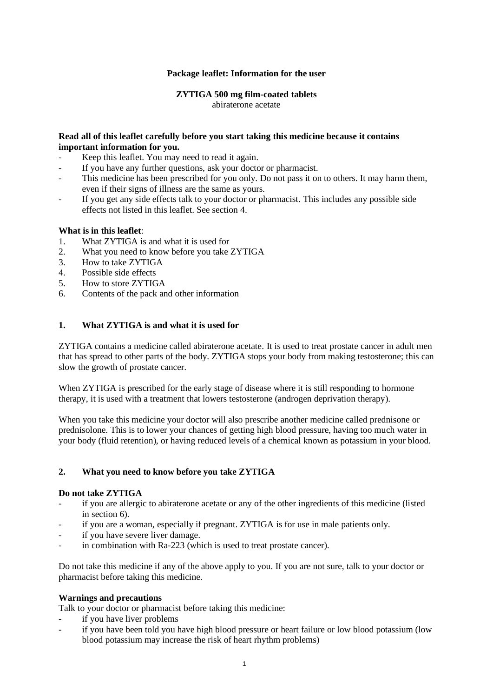#### **Package leaflet: Information for the user**

## **ZYTIGA 500 mg film-coated tablets** abiraterone acetate

#### **Read all of this leaflet carefully before you start taking this medicine because it contains important information for you.**

- Keep this leaflet. You may need to read it again.
- If you have any further questions, ask your doctor or pharmacist.
- This medicine has been prescribed for you only. Do not pass it on to others. It may harm them, even if their signs of illness are the same as yours.
- If you get any side effects talk to your doctor or pharmacist. This includes any possible side effects not listed in this leaflet. See section 4.

#### **What is in this leaflet**:

- 1. What ZYTIGA is and what it is used for
- 2. What you need to know before you take ZYTIGA
- 3. How to take ZYTIGA
- 4. Possible side effects
- 5. How to store ZYTIGA
- 6. Contents of the pack and other information

### **1. What ZYTIGA is and what it is used for**

ZYTIGA contains a medicine called abiraterone acetate. It is used to treat prostate cancer in adult men that has spread to other parts of the body. ZYTIGA stops your body from making testosterone; this can slow the growth of prostate cancer.

When ZYTIGA is prescribed for the early stage of disease where it is still responding to hormone therapy, it is used with a treatment that lowers testosterone (androgen deprivation therapy).

When you take this medicine your doctor will also prescribe another medicine called prednisone or prednisolone. This is to lower your chances of getting high blood pressure, having too much water in your body (fluid retention), or having reduced levels of a chemical known as potassium in your blood.

#### **2. What you need to know before you take ZYTIGA**

#### **Do not take ZYTIGA**

- if you are allergic to abiraterone acetate or any of the other ingredients of this medicine (listed in section 6).
- if you are a woman, especially if pregnant. ZYTIGA is for use in male patients only.
- if you have severe liver damage.
- in combination with Ra-223 (which is used to treat prostate cancer).

Do not take this medicine if any of the above apply to you. If you are not sure, talk to your doctor or pharmacist before taking this medicine.

#### **Warnings and precautions**

Talk to your doctor or pharmacist before taking this medicine:

- if you have liver problems
- if you have been told you have high blood pressure or heart failure or low blood potassium (low blood potassium may increase the risk of heart rhythm problems)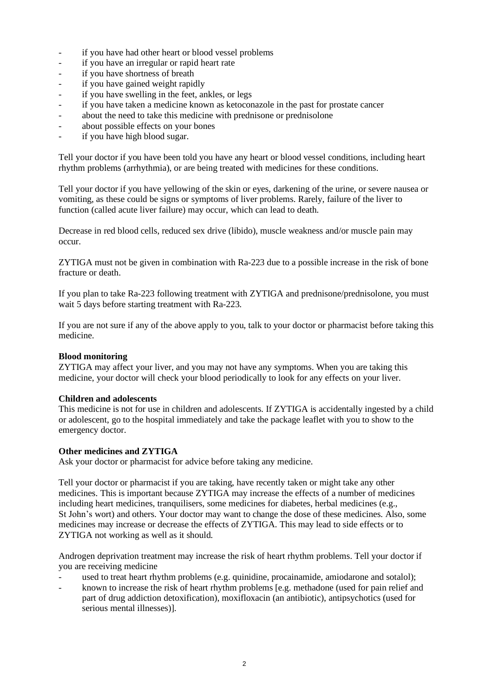- if you have had other heart or blood vessel problems
- if you have an irregular or rapid heart rate
- if you have shortness of breath
- if you have gained weight rapidly
- if you have swelling in the feet, ankles, or legs
- if you have taken a medicine known as ketoconazole in the past for prostate cancer
- about the need to take this medicine with prednisone or prednisolone
- about possible effects on your bones
- if you have high blood sugar.

Tell your doctor if you have been told you have any heart or blood vessel conditions, including heart rhythm problems (arrhythmia), or are being treated with medicines for these conditions.

Tell your doctor if you have yellowing of the skin or eyes, darkening of the urine, or severe nausea or vomiting, as these could be signs or symptoms of liver problems. Rarely, failure of the liver to function (called acute liver failure) may occur, which can lead to death.

Decrease in red blood cells, reduced sex drive (libido), muscle weakness and/or muscle pain may occur.

ZYTIGA must not be given in combination with Ra-223 due to a possible increase in the risk of bone fracture or death.

If you plan to take Ra-223 following treatment with ZYTIGA and prednisone/prednisolone, you must wait 5 days before starting treatment with Ra-223.

If you are not sure if any of the above apply to you, talk to your doctor or pharmacist before taking this medicine.

#### **Blood monitoring**

ZYTIGA may affect your liver, and you may not have any symptoms. When you are taking this medicine, your doctor will check your blood periodically to look for any effects on your liver.

#### **Children and adolescents**

This medicine is not for use in children and adolescents. If ZYTIGA is accidentally ingested by a child or adolescent, go to the hospital immediately and take the package leaflet with you to show to the emergency doctor.

#### **Other medicines and ZYTIGA**

Ask your doctor or pharmacist for advice before taking any medicine.

Tell your doctor or pharmacist if you are taking, have recently taken or might take any other medicines. This is important because ZYTIGA may increase the effects of a number of medicines including heart medicines, tranquilisers, some medicines for diabetes, herbal medicines (e.g., St John's wort) and others. Your doctor may want to change the dose of these medicines. Also, some medicines may increase or decrease the effects of ZYTIGA. This may lead to side effects or to ZYTIGA not working as well as it should.

Androgen deprivation treatment may increase the risk of heart rhythm problems. Tell your doctor if you are receiving medicine

- used to treat heart rhythm problems (e.g. quinidine, procainamide, amiodarone and sotalol);
- known to increase the risk of heart rhythm problems [e.g. methadone (used for pain relief and part of drug addiction detoxification), moxifloxacin (an antibiotic), antipsychotics (used for serious mental illnesses)].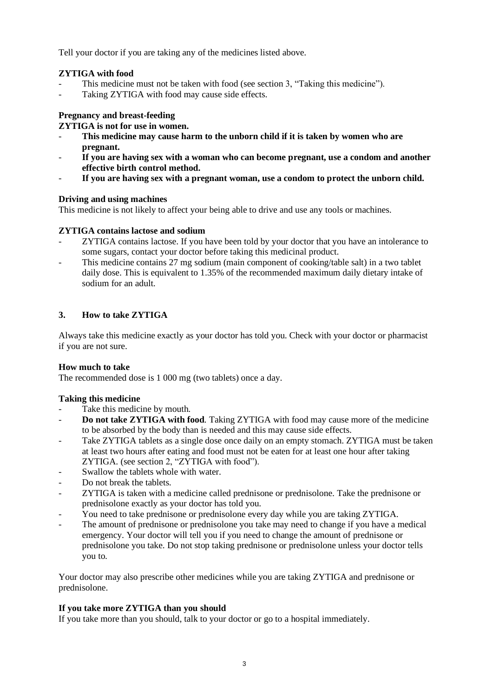Tell your doctor if you are taking any of the medicines listed above.

## **ZYTIGA with food**

- This medicine must not be taken with food (see section 3, "Taking this medicine").
- Taking ZYTIGA with food may cause side effects.

## **Pregnancy and breast-feeding**

#### **ZYTIGA is not for use in women.**

- **This medicine may cause harm to the unborn child if it is taken by women who are pregnant.**
- If you are having sex with a woman who can become pregnant, use a condom and another **effective birth control method.**
- If you are having sex with a pregnant woman, use a condom to protect the unborn child.

### **Driving and using machines**

This medicine is not likely to affect your being able to drive and use any tools or machines.

### **ZYTIGA contains lactose and sodium**

- ZYTIGA contains lactose. If you have been told by your doctor that you have an intolerance to some sugars, contact your doctor before taking this medicinal product.
- This medicine contains 27 mg sodium (main component of cooking/table salt) in a two tablet daily dose. This is equivalent to 1.35% of the recommended maximum daily dietary intake of sodium for an adult.

## **3. How to take ZYTIGA**

Always take this medicine exactly as your doctor has told you. Check with your doctor or pharmacist if you are not sure.

#### **How much to take**

The recommended dose is 1 000 mg (two tablets) once a day.

#### **Taking this medicine**

- Take this medicine by mouth.
- **Do not take ZYTIGA with food**. Taking ZYTIGA with food may cause more of the medicine to be absorbed by the body than is needed and this may cause side effects.
- Take ZYTIGA tablets as a single dose once daily on an empty stomach. ZYTIGA must be taken at least two hours after eating and food must not be eaten for at least one hour after taking ZYTIGA. (see section 2, "ZYTIGA with food").
- Swallow the tablets whole with water.
- Do not break the tablets.
- ZYTIGA is taken with a medicine called prednisone or prednisolone. Take the prednisone or prednisolone exactly as your doctor has told you.
- You need to take prednisone or prednisolone every day while you are taking ZYTIGA.
- The amount of prednisone or prednisolone you take may need to change if you have a medical emergency. Your doctor will tell you if you need to change the amount of prednisone or prednisolone you take. Do not stop taking prednisone or prednisolone unless your doctor tells you to.

Your doctor may also prescribe other medicines while you are taking ZYTIGA and prednisone or prednisolone.

## **If you take more ZYTIGA than you should**

If you take more than you should, talk to your doctor or go to a hospital immediately.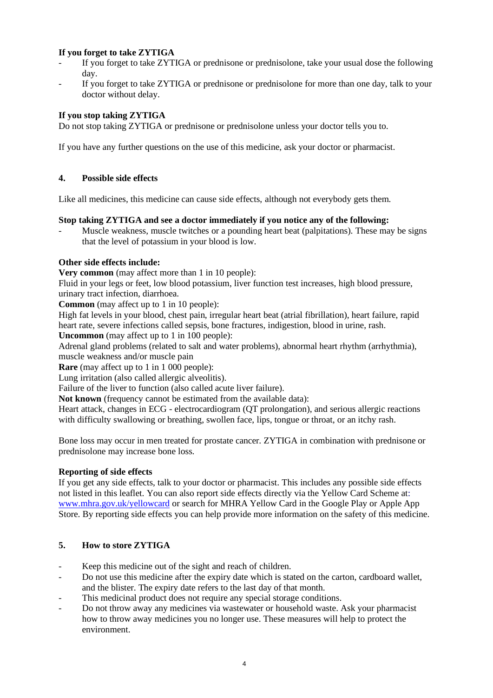## **If you forget to take ZYTIGA**

- If you forget to take ZYTIGA or prednisone or prednisolone, take your usual dose the following day.
- If you forget to take ZYTIGA or prednisone or prednisolone for more than one day, talk to your doctor without delay.

### **If you stop taking ZYTIGA**

Do not stop taking ZYTIGA or prednisone or prednisolone unless your doctor tells you to.

If you have any further questions on the use of this medicine, ask your doctor or pharmacist.

## **4. Possible side effects**

Like all medicines, this medicine can cause side effects, although not everybody gets them.

#### **Stop taking ZYTIGA and see a doctor immediately if you notice any of the following:**

Muscle weakness, muscle twitches or a pounding heart beat (palpitations). These may be signs that the level of potassium in your blood is low.

### **Other side effects include:**

**Very common** (may affect more than 1 in 10 people):

Fluid in your legs or feet, low blood potassium, liver function test increases, high blood pressure, urinary tract infection, diarrhoea.

**Common** (may affect up to 1 in 10 people):

High fat levels in your blood, chest pain, irregular heart beat (atrial fibrillation), heart failure, rapid heart rate, severe infections called sepsis, bone fractures, indigestion, blood in urine, rash.

**Uncommon** (may affect up to 1 in 100 people):

Adrenal gland problems (related to salt and water problems), abnormal heart rhythm (arrhythmia), muscle weakness and/or muscle pain

**Rare** (may affect up to 1 in 1 000 people):

Lung irritation (also called allergic alveolitis).

Failure of the liver to function (also called acute liver failure).

**Not known** (frequency cannot be estimated from the available data):

Heart attack, changes in ECG - electrocardiogram (QT prolongation), and serious allergic reactions with difficulty swallowing or breathing, swollen face, lips, tongue or throat, or an itchy rash.

Bone loss may occur in men treated for prostate cancer. ZYTIGA in combination with prednisone or prednisolone may increase bone loss.

## **Reporting of side effects**

If you get any side effects, talk to your doctor or pharmacist. This includes any possible side effects not listed in this leaflet. You can also report side effects directly via the Yellow Card Scheme at: [www.mhra.gov.uk/yellowcard](http://www.mhra.gov.uk/yellowcard) or search for MHRA Yellow Card in the Google Play or Apple App Store. By reporting side effects you can help provide more information on the safety of this medicine.

## **5. How to store ZYTIGA**

- Keep this medicine out of the sight and reach of children.
- Do not use this medicine after the expiry date which is stated on the carton, cardboard wallet, and the blister. The expiry date refers to the last day of that month.
- This medicinal product does not require any special storage conditions.
- Do not throw away any medicines via wastewater or household waste. Ask your pharmacist how to throw away medicines you no longer use. These measures will help to protect the environment.